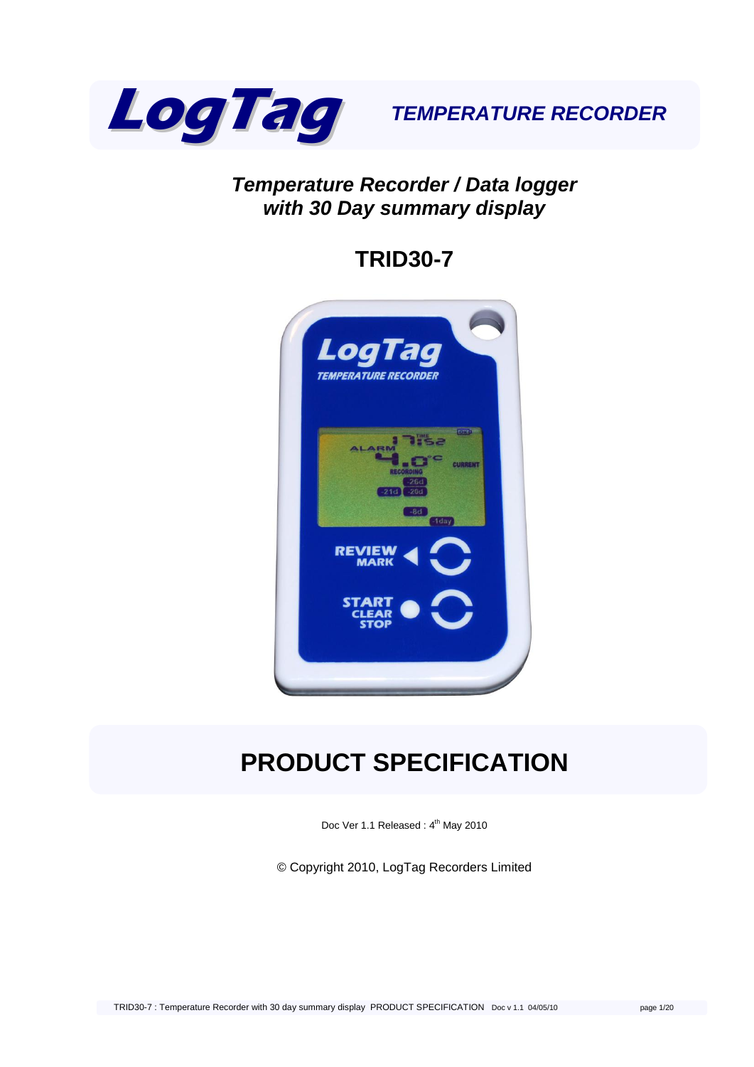

### *Temperature Recorder / Data logger with 30 Day summary display*

# **TRID30-7**



# **PRODUCT SPECIFICATION**

Doc Ver 1.1 Released: 4<sup>th</sup> May 2010

© Copyright 2010, LogTag Recorders Limited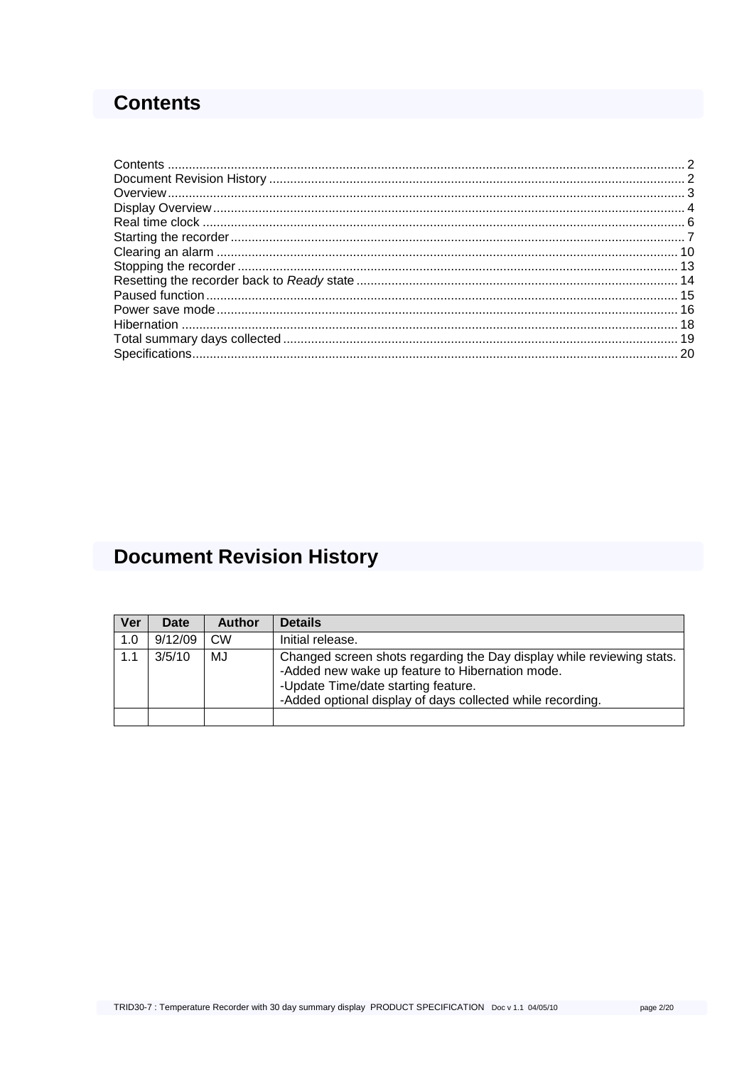### <span id="page-1-0"></span>**Contents**

# <span id="page-1-1"></span>**Document Revision History**

| Ver | <b>Date</b> | <b>Author</b> | <b>Details</b>                                                                                                                                                                                                                |
|-----|-------------|---------------|-------------------------------------------------------------------------------------------------------------------------------------------------------------------------------------------------------------------------------|
| 1.0 | 9/12/09     | <b>CW</b>     | Initial release.                                                                                                                                                                                                              |
| 1.1 | 3/5/10      | MJ            | Changed screen shots regarding the Day display while reviewing stats.<br>-Added new wake up feature to Hibernation mode.<br>-Update Time/date starting feature.<br>-Added optional display of days collected while recording. |
|     |             |               |                                                                                                                                                                                                                               |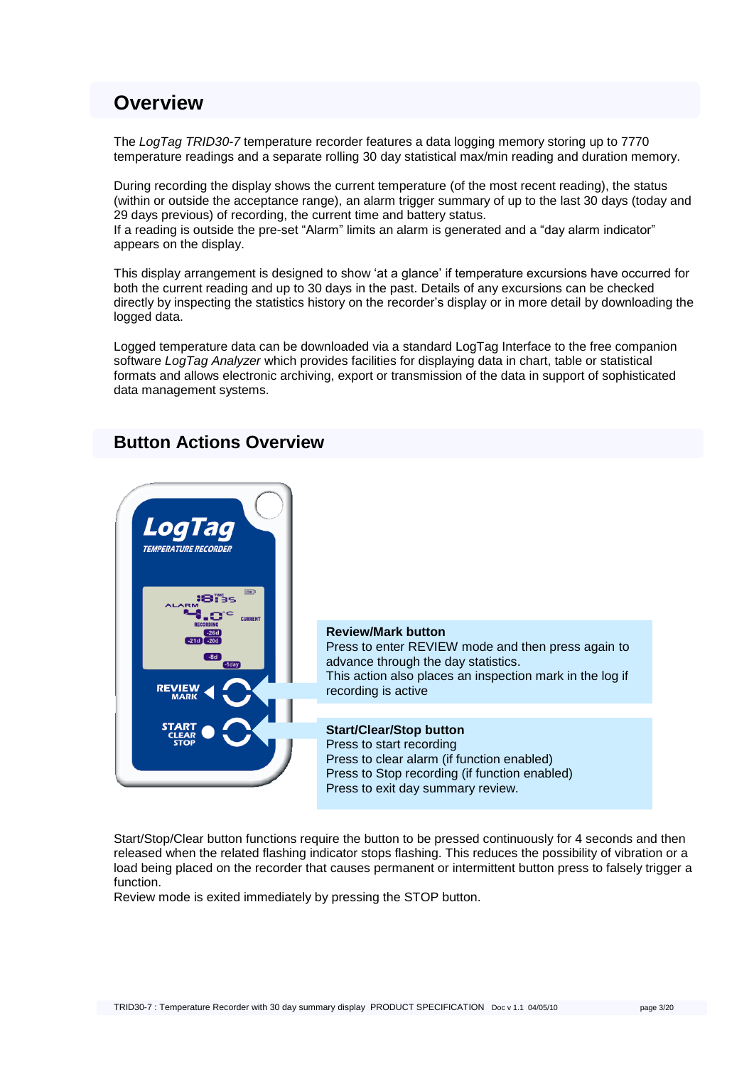### <span id="page-2-0"></span>**Overview**

The *LogTag TRID30-7* temperature recorder features a data logging memory storing up to 7770 temperature readings and a separate rolling 30 day statistical max/min reading and duration memory.

During recording the display shows the current temperature (of the most recent reading), the status (within or outside the acceptance range), an alarm trigger summary of up to the last 30 days (today and 29 days previous) of recording, the current time and battery status.

If a reading is outside the pre-set "Alarm" limits an alarm is generated and a "day alarm indicator" appears on the display.

This display arrangement is designed to show "at a glance" if temperature excursions have occurred for both the current reading and up to 30 days in the past. Details of any excursions can be checked directly by inspecting the statistics history on the recorder"s display or in more detail by downloading the logged data.

Logged temperature data can be downloaded via a standard LogTag Interface to the free companion software *LogTag Analyzer* which provides facilities for displaying data in chart, table or statistical formats and allows electronic archiving, export or transmission of the data in support of sophisticated data management systems.

### **Button Actions Overview**



Start/Stop/Clear button functions require the button to be pressed continuously for 4 seconds and then released when the related flashing indicator stops flashing. This reduces the possibility of vibration or a load being placed on the recorder that causes permanent or intermittent button press to falsely trigger a function.

Review mode is exited immediately by pressing the STOP button.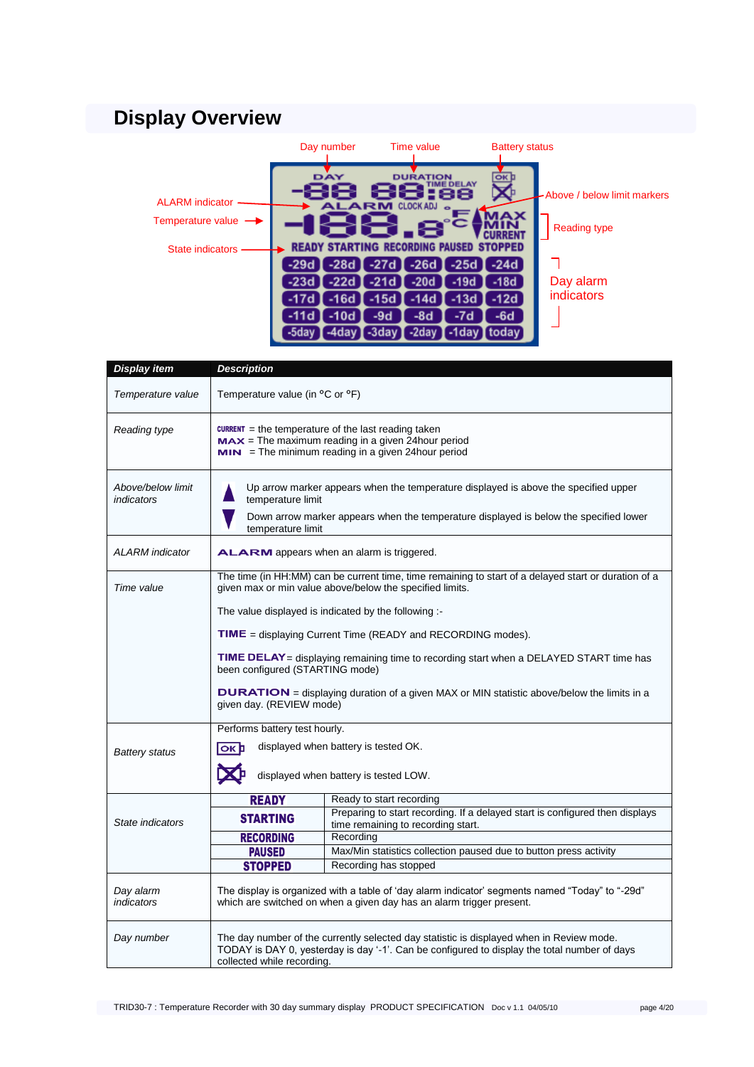# <span id="page-3-0"></span>**Display Overview**

|                                 | Day number     | Time value                                 | <b>Battery status</b>                          |                              |
|---------------------------------|----------------|--------------------------------------------|------------------------------------------------|------------------------------|
| <b>ALARM</b> indicator          | DAY            | <b>DURATION</b><br><b>ALARM CLOCKADJ</b> . | ΟК<br><b><i>FIME DELAY</i></b>                 | -Above / below limit markers |
| Temperature value $\rightarrow$ |                | e                                          |                                                | <b>Reading type</b>          |
| <b>State indicators</b>         |                |                                            | <b>READY STARTING RECORDING PAUSED STOPPED</b> |                              |
|                                 | $-28d$<br>-29d | $-27d$<br>$-26d$                           | $-25d$ $\blacksquare$ $-24d$                   |                              |
|                                 | -22d<br>-23d   | -21d<br>-20d                               | $-18d$<br>-19d                                 | Day alarm                    |
|                                 | $-16d$<br>-17d | -15d<br>-14d                               | $-12d$<br>$-13d$                               | indicators                   |
|                                 | $-10d$<br>-11d | $-8d$<br>$-9d$                             | -7d<br>$-6d$                                   |                              |
|                                 |                |                                            | todav                                          |                              |

| <b>Display item</b>                   | <b>Description</b>                                                                                                                                                                                |                                                                                                                                                                                          |  |
|---------------------------------------|---------------------------------------------------------------------------------------------------------------------------------------------------------------------------------------------------|------------------------------------------------------------------------------------------------------------------------------------------------------------------------------------------|--|
| Temperature value                     | Temperature value (in °C or °F)                                                                                                                                                                   |                                                                                                                                                                                          |  |
| Reading type                          | <b>CURRENT</b> = the temperature of the last reading taken<br>$MAX = The maximum reading in a given 24 hour period$<br>$MIN = The minimum reading in a given 24 hour period$                      |                                                                                                                                                                                          |  |
| Above/below limit<br>indicators       | Up arrow marker appears when the temperature displayed is above the specified upper<br>temperature limit<br>Down arrow marker appears when the temperature displayed is below the specified lower |                                                                                                                                                                                          |  |
|                                       | temperature limit                                                                                                                                                                                 |                                                                                                                                                                                          |  |
| <b>ALARM</b> indicator                |                                                                                                                                                                                                   | <b>ALARM</b> appears when an alarm is triggered.                                                                                                                                         |  |
| Time value                            | The time (in HH:MM) can be current time, time remaining to start of a delayed start or duration of a<br>given max or min value above/below the specified limits.                                  |                                                                                                                                                                                          |  |
|                                       |                                                                                                                                                                                                   | The value displayed is indicated by the following :-                                                                                                                                     |  |
|                                       | <b>TIME</b> = displaying Current Time (READY and RECORDING modes).                                                                                                                                |                                                                                                                                                                                          |  |
|                                       | TIME DELAY = displaying remaining time to recording start when a DELAYED START time has<br>been configured (STARTING mode)                                                                        |                                                                                                                                                                                          |  |
|                                       | <b>DURATION</b> = displaying duration of a given MAX or MIN statistic above/below the limits in a<br>given day. (REVIEW mode)                                                                     |                                                                                                                                                                                          |  |
|                                       | Performs battery test hourly.                                                                                                                                                                     |                                                                                                                                                                                          |  |
| <b>Battery status</b>                 | displayed when battery is tested OK.<br><b>OK</b>                                                                                                                                                 |                                                                                                                                                                                          |  |
| displayed when battery is tested LOW. |                                                                                                                                                                                                   |                                                                                                                                                                                          |  |
|                                       | <b>READY</b>                                                                                                                                                                                      | Ready to start recording                                                                                                                                                                 |  |
| State indicators                      | <b>STARTING</b>                                                                                                                                                                                   | Preparing to start recording. If a delayed start is configured then displays<br>time remaining to recording start.                                                                       |  |
|                                       | <b>RECORDING</b>                                                                                                                                                                                  | Recording                                                                                                                                                                                |  |
|                                       | <b>PAUSED</b>                                                                                                                                                                                     | Max/Min statistics collection paused due to button press activity                                                                                                                        |  |
|                                       | <b>STOPPED</b>                                                                                                                                                                                    | Recording has stopped                                                                                                                                                                    |  |
| Day alarm<br>indicators               | "The display is organized with a table of 'day alarm indicator' segments named "Today" to "-29d<br>which are switched on when a given day has an alarm trigger present.                           |                                                                                                                                                                                          |  |
| Day number                            | collected while recording.                                                                                                                                                                        | The day number of the currently selected day statistic is displayed when in Review mode.<br>TODAY is DAY 0, yesterday is day '-1'. Can be configured to display the total number of days |  |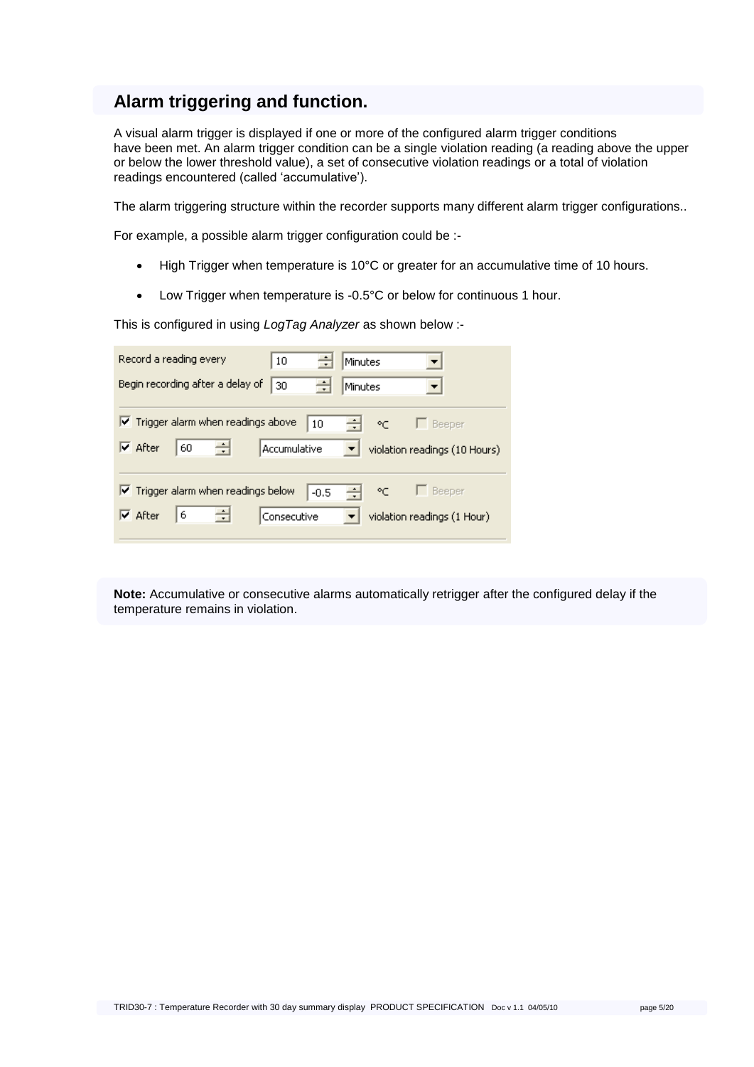### **Alarm triggering and function.**

A visual alarm trigger is displayed if one or more of the configured alarm trigger conditions have been met. An alarm trigger condition can be a single violation reading (a reading above the upper or below the lower threshold value), a set of consecutive violation readings or a total of violation readings encountered (called "accumulative").

The alarm triggering structure within the recorder supports many different alarm trigger configurations..

For example, a possible alarm trigger configuration could be :-

- High Trigger when temperature is 10°C or greater for an accumulative time of 10 hours.
- Low Trigger when temperature is -0.5°C or below for continuous 1 hour.

This is configured in using *LogTag Analyzer* as shown below :-

| Record a reading every                                  | $\div$<br>10        | Minutes     |                               |
|---------------------------------------------------------|---------------------|-------------|-------------------------------|
| Begin recording after a delay of                        | ÷<br>30             | Minutes     |                               |
|                                                         |                     |             |                               |
| $\blacktriangleright$ Trigger alarm when readings above | 10                  | 싂 ~ 「Beeper |                               |
| $\triangledown$ After<br>÷<br>60                        | <b>Accumulative</b> |             | violation readings (10 Hours) |
|                                                         |                     |             |                               |
| $\boxed{\checkmark}$ Trigger alarm when readings below  | $-0.5$              | 쉬<br>ೀ      | $\Box$ Beeper                 |
| ÷<br>6<br>$\overline{\mathsf{v}}$ After                 | Consecutive         |             | violation readings (1 Hour)   |
|                                                         |                     |             |                               |

**Note:** Accumulative or consecutive alarms automatically retrigger after the configured delay if the temperature remains in violation.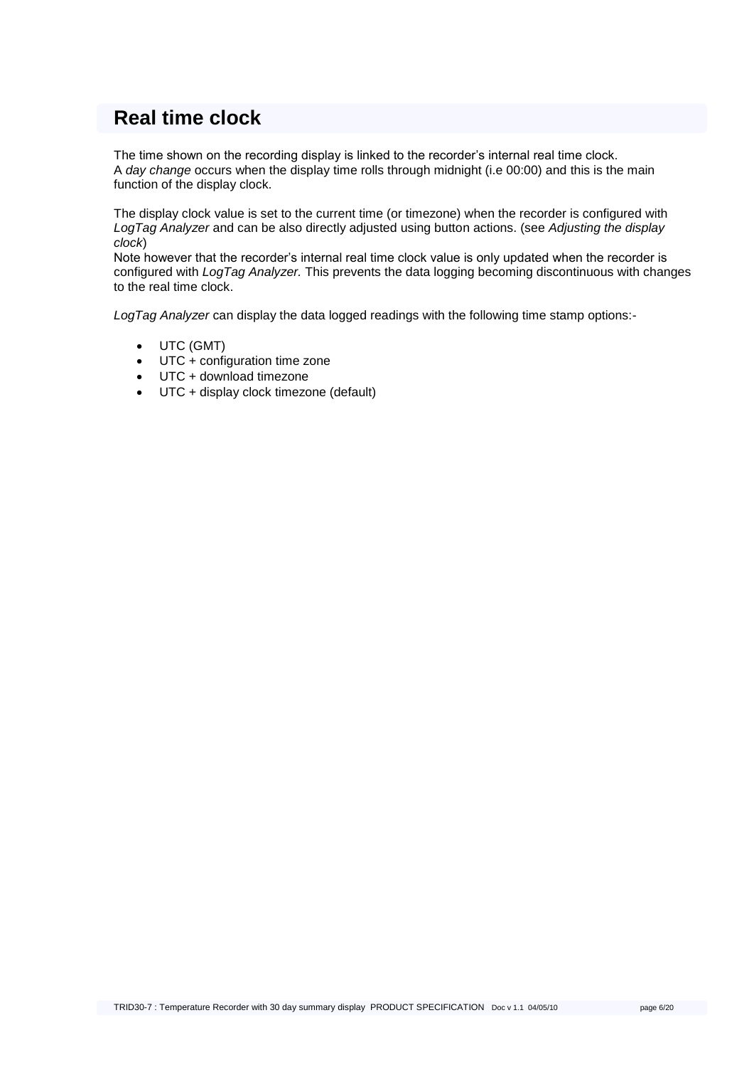### <span id="page-5-0"></span>**Real time clock**

The time shown on the recording display is linked to the recorder"s internal real time clock. A *day change* occurs when the display time rolls through midnight (i.e 00:00) and this is the main function of the display clock.

The display clock value is set to the current time (or timezone) when the recorder is configured with *LogTag Analyzer* and can be also directly adjusted using button actions. (see *Adjusting the display clock*)

Note however that the recorder"s internal real time clock value is only updated when the recorder is configured with *LogTag Analyzer.* This prevents the data logging becoming discontinuous with changes to the real time clock.

*LogTag Analyzer* can display the data logged readings with the following time stamp options:-

- UTC (GMT)
- UTC + configuration time zone
- UTC + download timezone
- UTC + display clock timezone (default)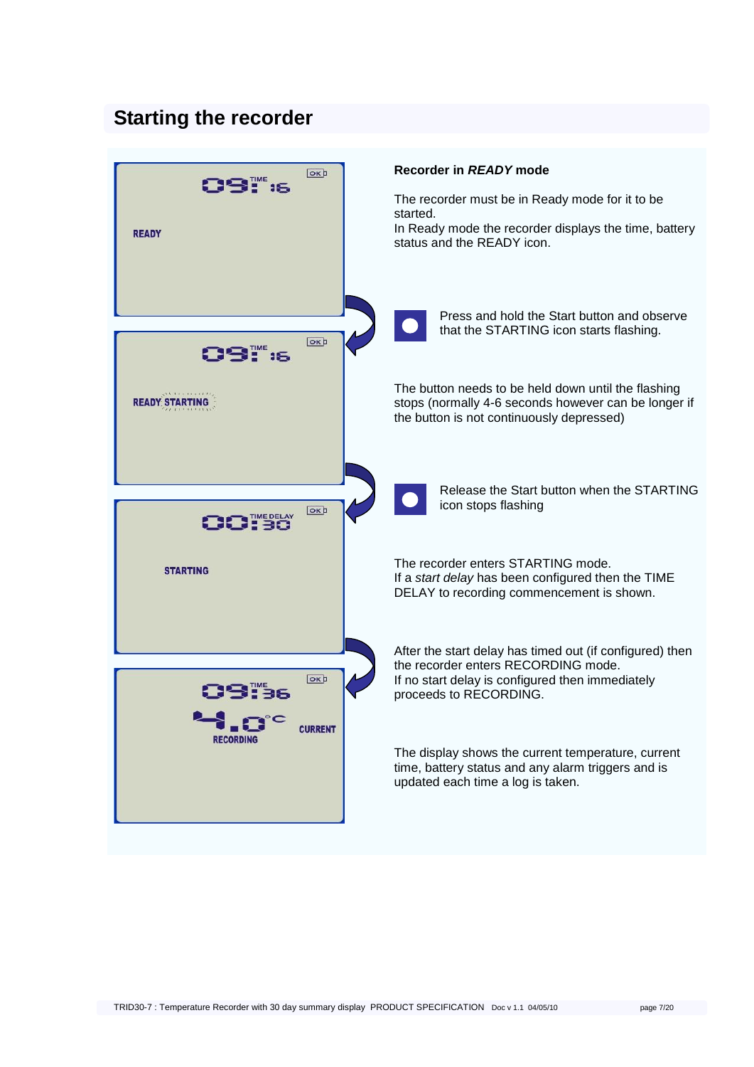### <span id="page-6-0"></span>**Starting the recorder**

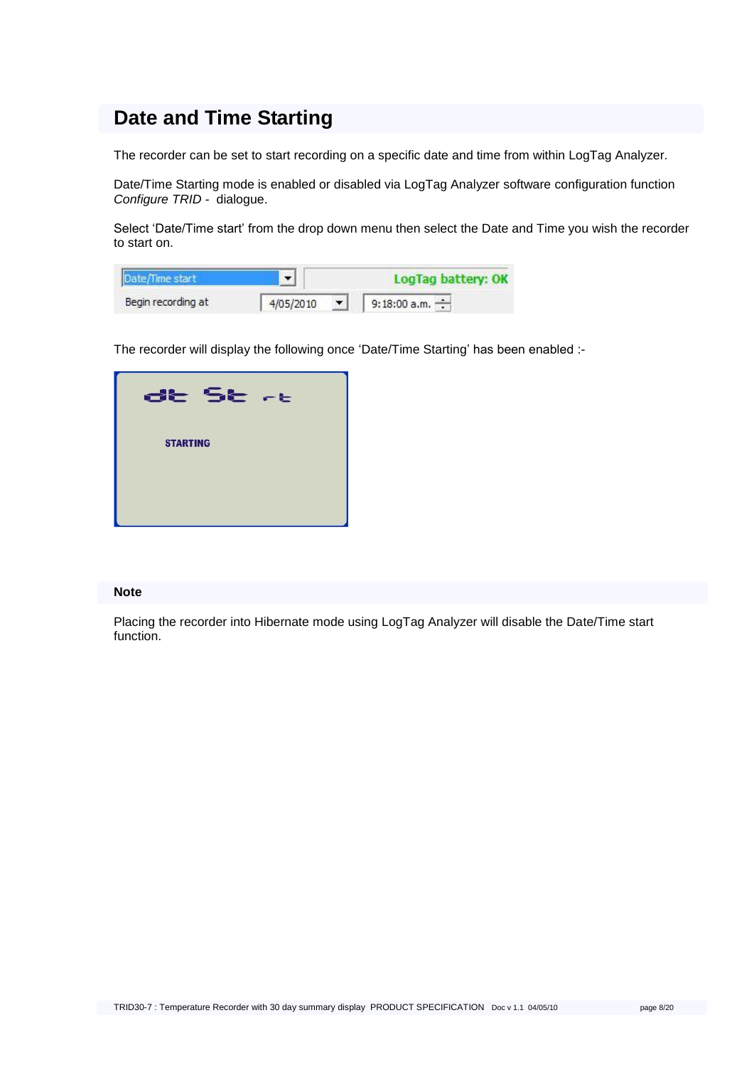### **Date and Time Starting**

The recorder can be set to start recording on a specific date and time from within LogTag Analyzer.

Date/Time Starting mode is enabled or disabled via LogTag Analyzer software configuration function *Configure TRID -* dialogue.

Select 'Date/Time start' from the drop down menu then select the Date and Time you wish the recorder to start on.

|                    |           | ConTan battery: OK  |  |  |
|--------------------|-----------|---------------------|--|--|
| Begin recording at | 4/05/2010 | 9:18:00 a.m. $\div$ |  |  |

The recorder will display the following once 'Date/Time Starting' has been enabled :-



#### **Note**

Placing the recorder into Hibernate mode using LogTag Analyzer will disable the Date/Time start function.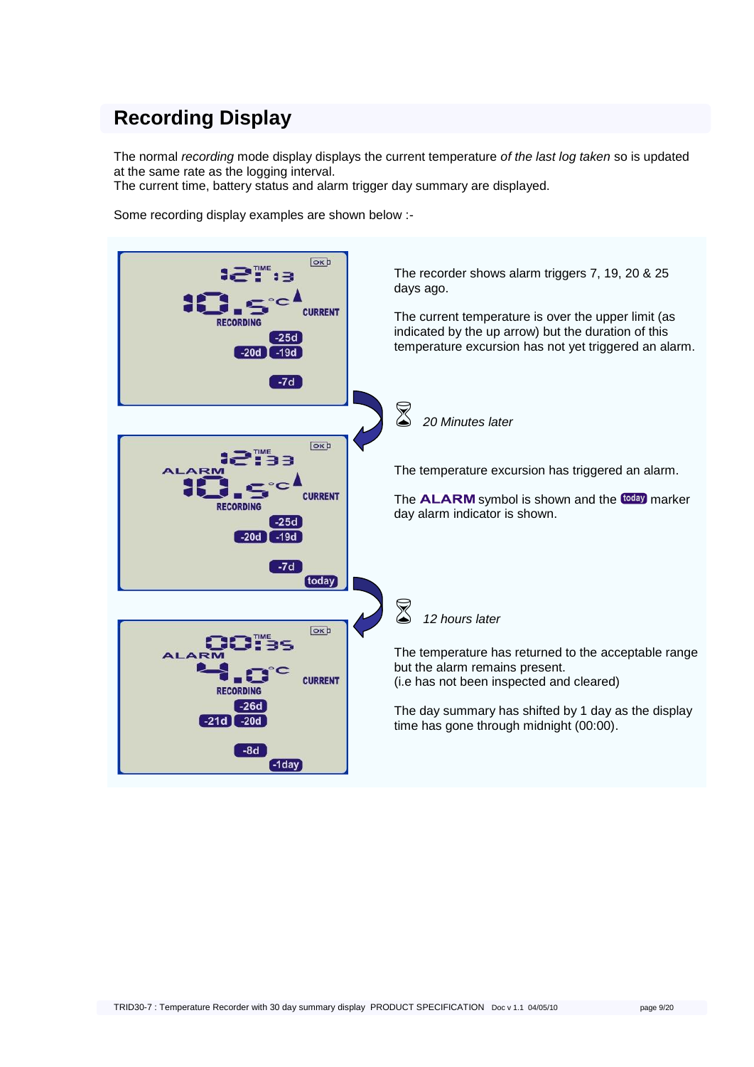### **Recording Display**

The normal *recording* mode display displays the current temperature *of the last log taken* so is updated at the same rate as the logging interval.

The current time, battery status and alarm trigger day summary are displayed.

Some recording display examples are shown below :-

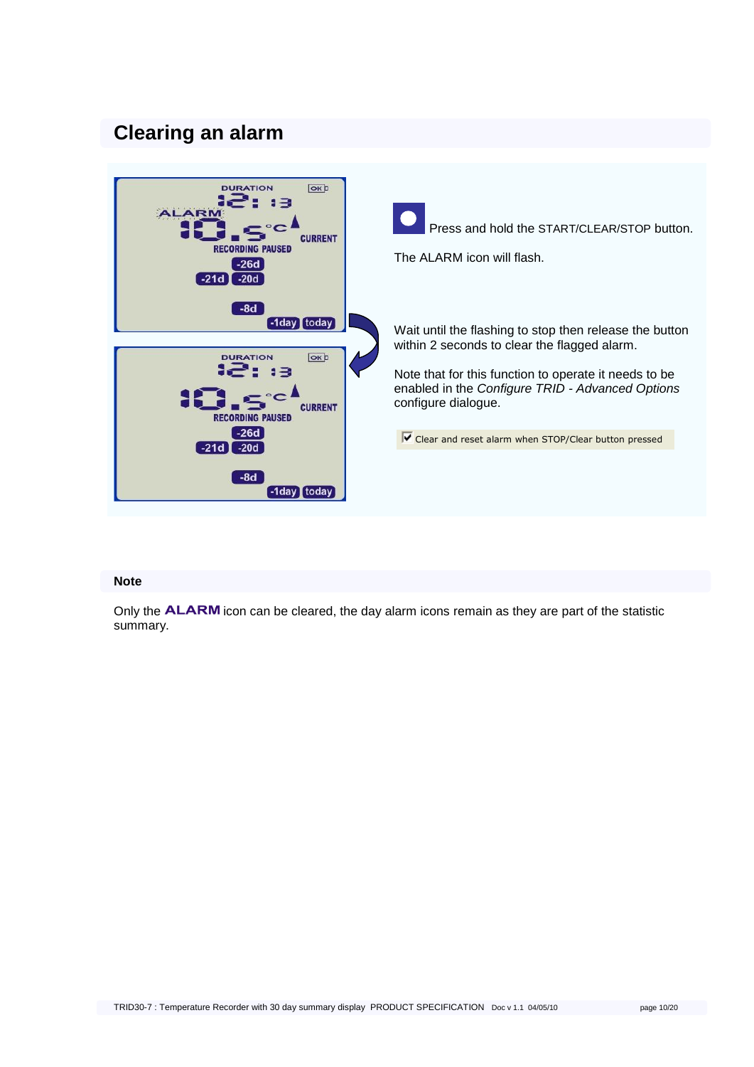### <span id="page-9-0"></span>**Clearing an alarm**



#### **Note**

Only the **ALARM** icon can be cleared, the day alarm icons remain as they are part of the statistic summary.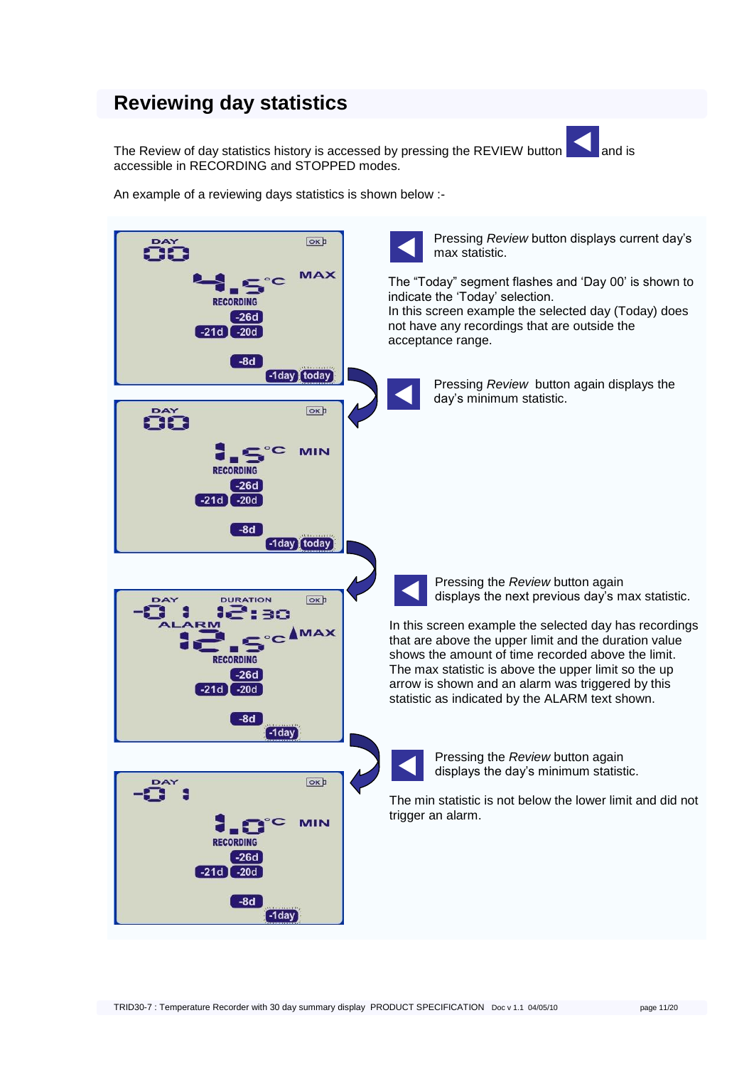### **Reviewing day statistics**

The Review of day statistics history is accessed by pressing the REVIEW button and is accessible in RECORDING and STOPPED modes.

An example of a reviewing days statistics is shown below :-

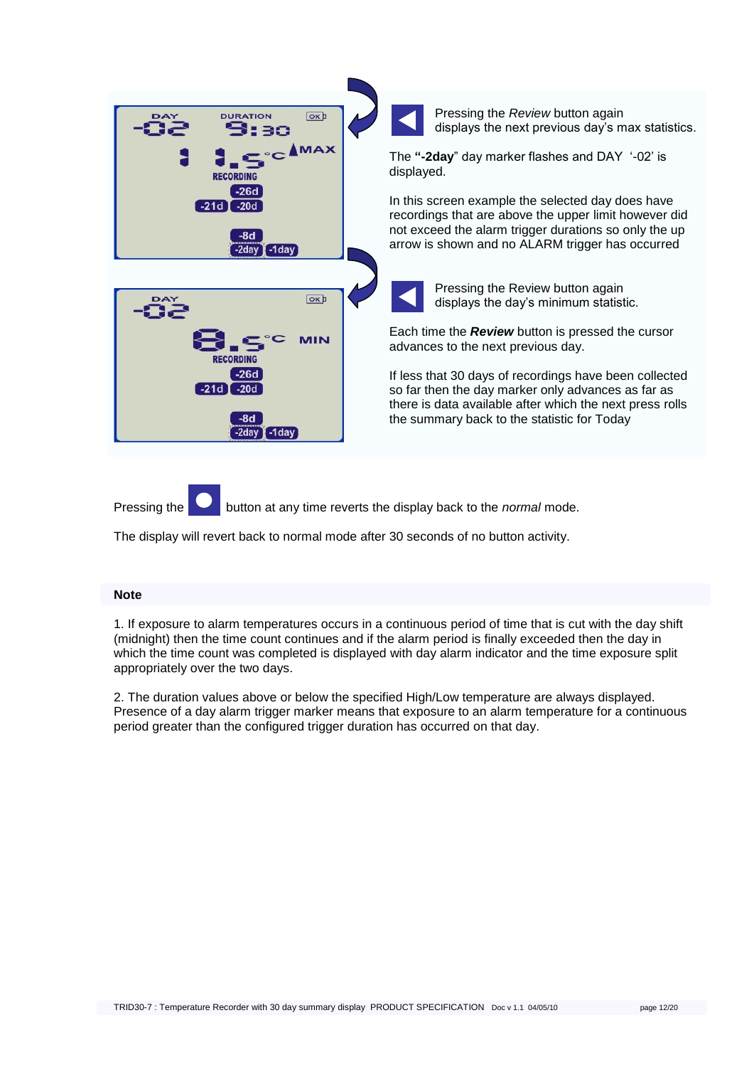| Pressing the Review button again<br>displays the next previous day's max statistics.                                                                                                                                    |
|-------------------------------------------------------------------------------------------------------------------------------------------------------------------------------------------------------------------------|
| The "-2day" day marker flashes and DAY '-02' is<br>displayed.                                                                                                                                                           |
| In this screen example the selected day does have<br>recordings that are above the upper limit however did<br>not exceed the alarm trigger durations so only the up<br>arrow is shown and no ALARM trigger has occurred |
| Pressing the Review button again<br>displays the day's minimum statistic.                                                                                                                                               |
| Each time the <b>Review</b> button is pressed the cursor<br>advances to the next previous day.                                                                                                                          |
| If less that 30 days of recordings have been collected<br>so far then the day marker only advances as far as<br>there is data available after which the next press rolls<br>the summary back to the statistic for Today |
|                                                                                                                                                                                                                         |

Pressing the button at any time reverts the display back to the *normal* mode.

The display will revert back to normal mode after 30 seconds of no button activity.

#### **Note**

1. If exposure to alarm temperatures occurs in a continuous period of time that is cut with the day shift (midnight) then the time count continues and if the alarm period is finally exceeded then the day in which the time count was completed is displayed with day alarm indicator and the time exposure split appropriately over the two days.

2. The duration values above or below the specified High/Low temperature are always displayed. Presence of a day alarm trigger marker means that exposure to an alarm temperature for a continuous period greater than the configured trigger duration has occurred on that day.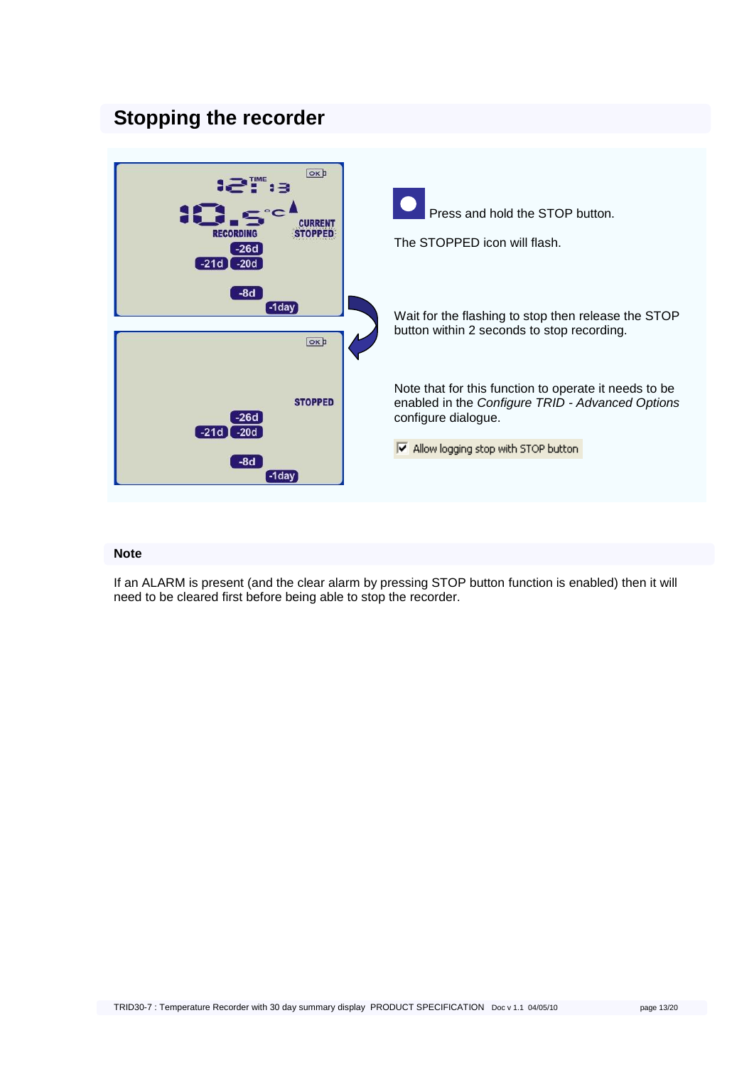### <span id="page-12-0"></span>**Stopping the recorder**



#### **Note**

If an ALARM is present (and the clear alarm by pressing STOP button function is enabled) then it will need to be cleared first before being able to stop the recorder.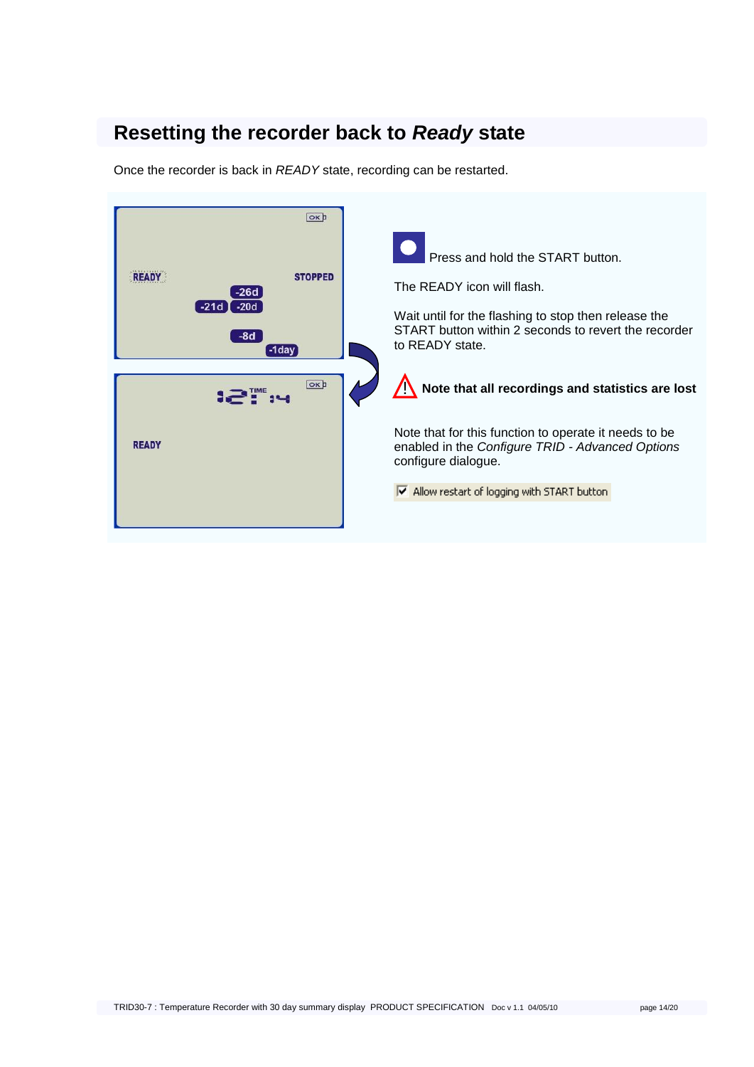## <span id="page-13-0"></span>**Resetting the recorder back to** *Ready* **state**

Once the recorder is back in *READY* state, recording can be restarted.

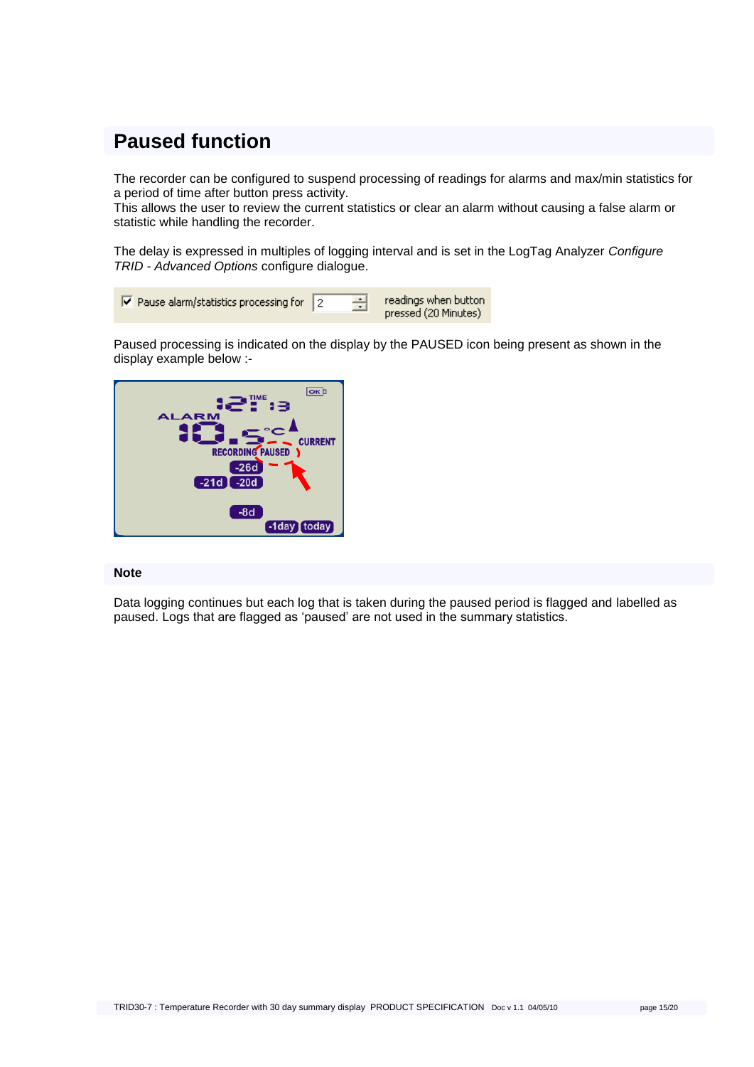## <span id="page-14-0"></span>**Paused function**

The recorder can be configured to suspend processing of readings for alarms and max/min statistics for a period of time after button press activity.

This allows the user to review the current statistics or clear an alarm without causing a false alarm or statistic while handling the recorder.

The delay is expressed in multiples of logging interval and is set in the LogTag Analyzer *Configure TRID - Advanced Options* configure dialogue.

Paused processing is indicated on the display by the PAUSED icon being present as shown in the display example below :-



#### **Note**

Data logging continues but each log that is taken during the paused period is flagged and labelled as paused. Logs that are flagged as "paused" are not used in the summary statistics.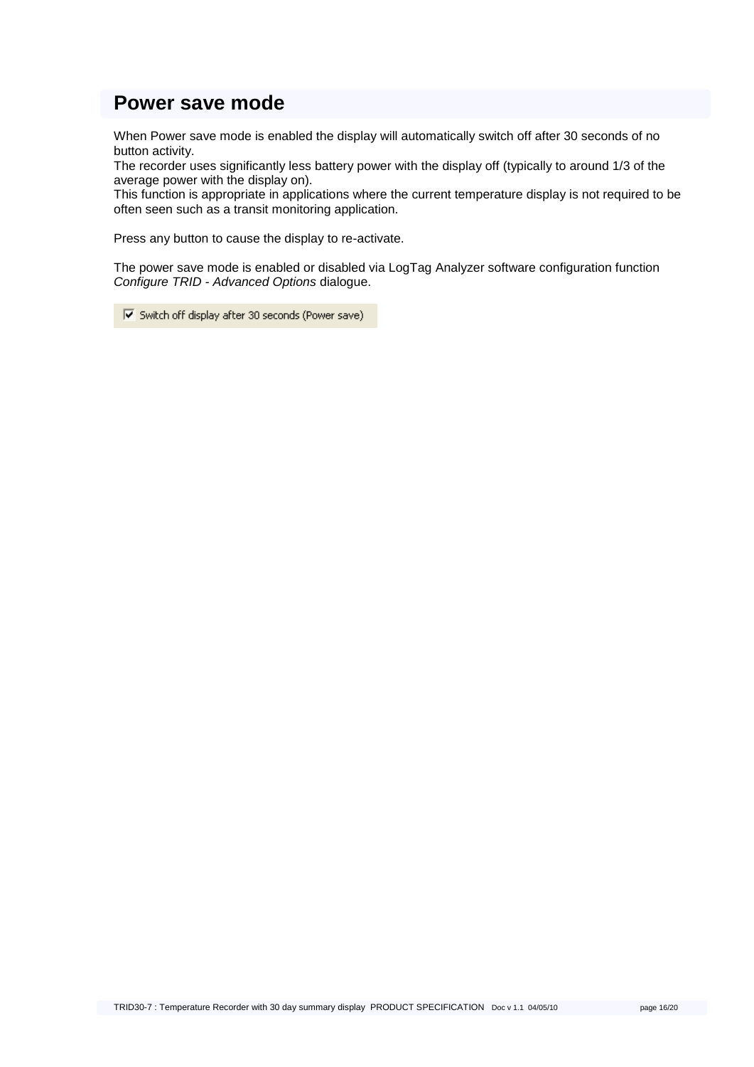### <span id="page-15-0"></span>**Power save mode**

When Power save mode is enabled the display will automatically switch off after 30 seconds of no button activity.

The recorder uses significantly less battery power with the display off (typically to around 1/3 of the average power with the display on).

This function is appropriate in applications where the current temperature display is not required to be often seen such as a transit monitoring application.

Press any button to cause the display to re-activate.

The power save mode is enabled or disabled via LogTag Analyzer software configuration function *Configure TRID - Advanced Options* dialogue.

 $\overline{\blacktriangledown}$  Switch off display after 30 seconds (Power save)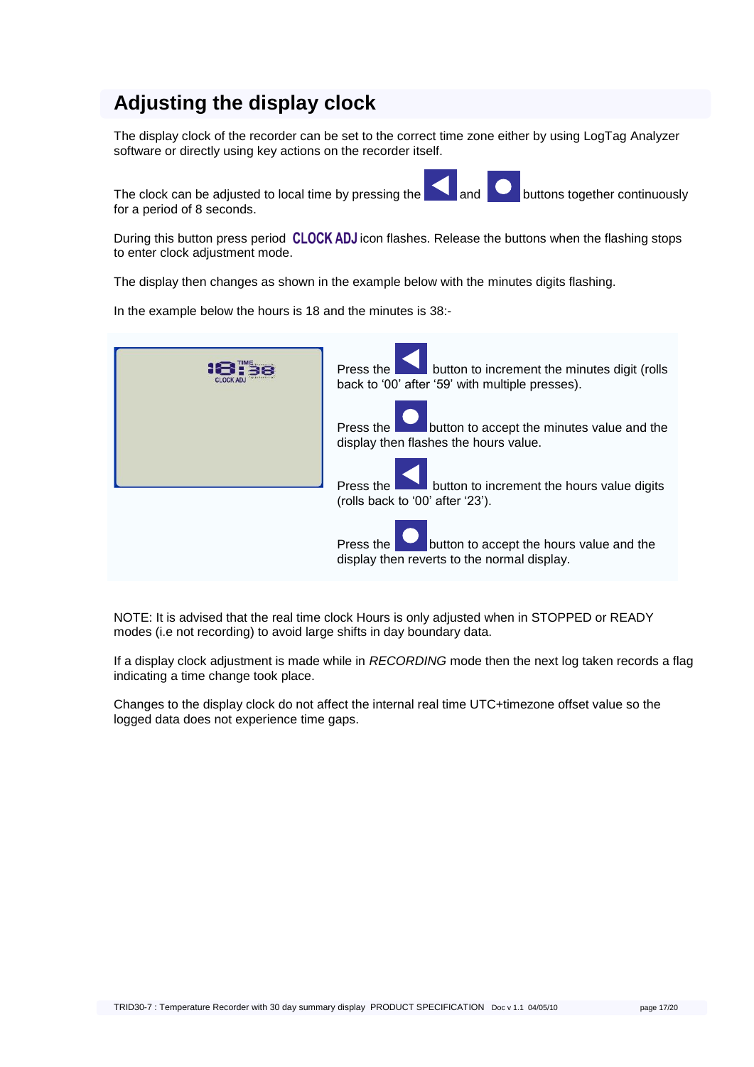## **Adjusting the display clock**

The display clock of the recorder can be set to the correct time zone either by using LogTag Analyzer software or directly using key actions on the recorder itself.

The clock can be adjusted to local time by pressing the and  $\Box$  buttons together continuously for a period of 8 seconds.

During this button press period **CLOCK ADJ** icon flashes. Release the buttons when the flashing stops to enter clock adjustment mode.

The display then changes as shown in the example below with the minutes digits flashing.

In the example below the hours is 18 and the minutes is 38:-



NOTE: It is advised that the real time clock Hours is only adjusted when in STOPPED or READY modes (i.e not recording) to avoid large shifts in day boundary data.

If a display clock adjustment is made while in *RECORDING* mode then the next log taken records a flag indicating a time change took place.

Changes to the display clock do not affect the internal real time UTC+timezone offset value so the logged data does not experience time gaps.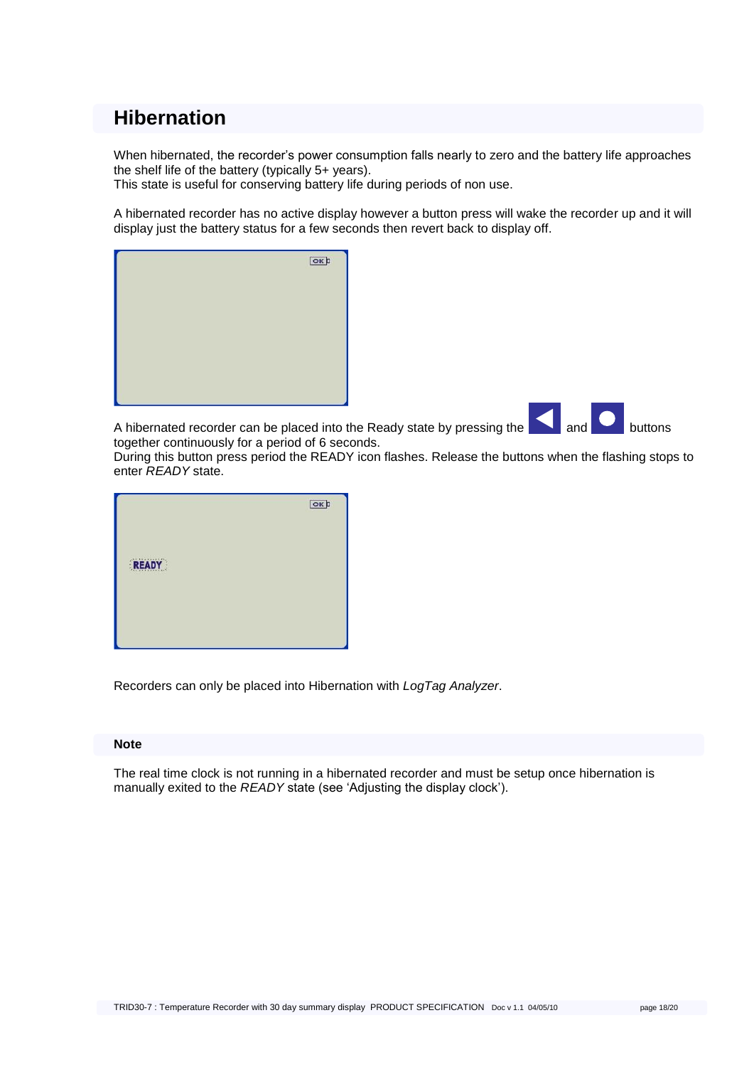### <span id="page-17-0"></span>**Hibernation**

When hibernated, the recorder"s power consumption falls nearly to zero and the battery life approaches the shelf life of the battery (typically 5+ years).

This state is useful for conserving battery life during periods of non use.

A hibernated recorder has no active display however a button press will wake the recorder up and it will display just the battery status for a few seconds then revert back to display off.



A hibernated recorder can be placed into the Ready state by pressing the  $\Box$  and  $\Box$  buttons together continuously for a period of 6 seconds.

During this button press period the READY icon flashes. Release the buttons when the flashing stops to enter *READY* state.

|       | $\boxed{\text{OK}}$ |
|-------|---------------------|
|       |                     |
| READY |                     |
|       |                     |
|       |                     |

Recorders can only be placed into Hibernation with *LogTag Analyzer*.

#### **Note**

The real time clock is not running in a hibernated recorder and must be setup once hibernation is manually exited to the *READY* state (see "Adjusting the display clock").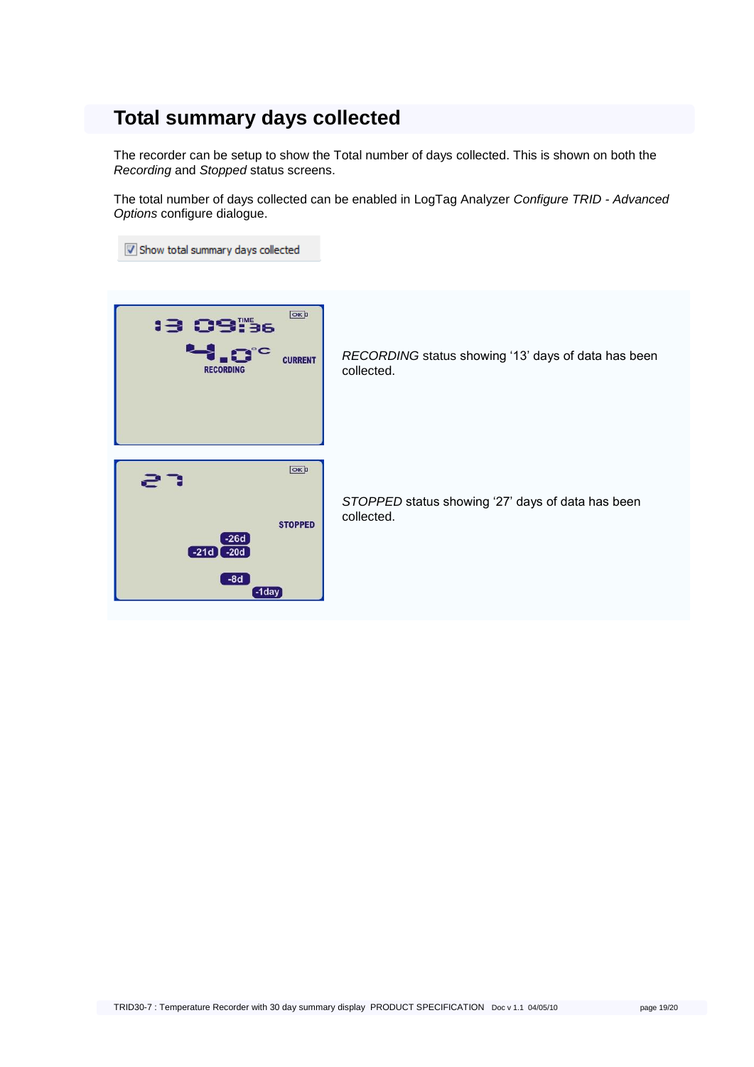### <span id="page-18-0"></span>**Total summary days collected**

The recorder can be setup to show the Total number of days collected. This is shown on both the *Recording* and *Stopped* status screens.

The total number of days collected can be enabled in LogTag Analyzer *Configure TRID - Advanced Options* configure dialogue.

Show total summary days collected